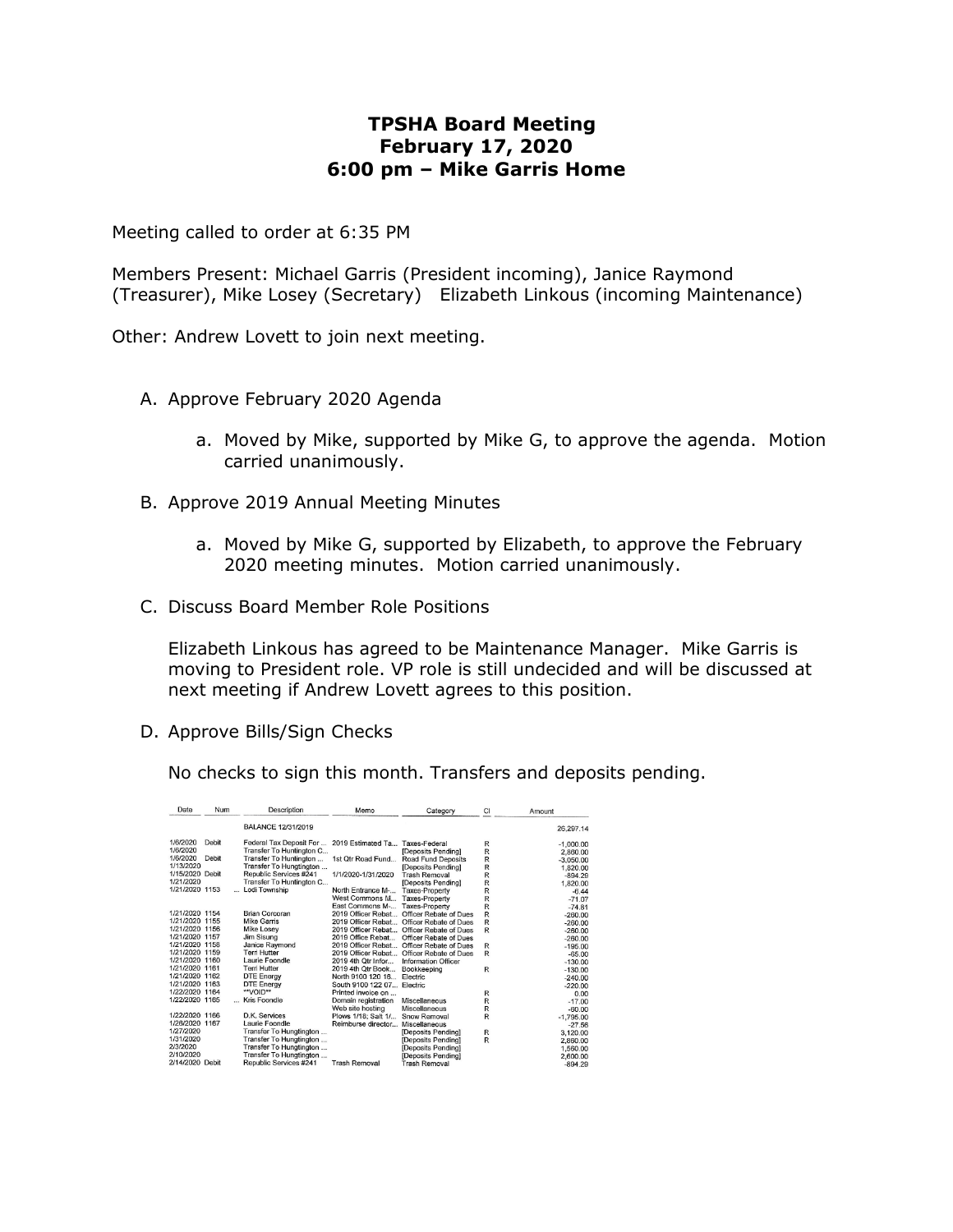## **TPSHA Board Meeting February 17, 2020 6:00 pm – Mike Garris Home**

Meeting called to order at 6:35 PM

Members Present: Michael Garris (President incoming), Janice Raymond (Treasurer), Mike Losey (Secretary) Elizabeth Linkous (incoming Maintenance)

Other: Andrew Lovett to join next meeting.

- A. Approve February 2020 Agenda
	- a. Moved by Mike, supported by Mike G, to approve the agenda. Motion carried unanimously.
- B. Approve 2019 Annual Meeting Minutes
	- a. Moved by Mike G, supported by Elizabeth, to approve the February 2020 meeting minutes. Motion carried unanimously.
- C. Discuss Board Member Role Positions

Elizabeth Linkous has agreed to be Maintenance Manager. Mike Garris is moving to President role. VP role is still undecided and will be discussed at next meeting if Andrew Lovett agrees to this position.

D. Approve Bills/Sign Checks

No checks to sign this month. Transfers and deposits pending.

| Date            | Num   | Description              | Memo                              | Category                  | CI           | Amount      |
|-----------------|-------|--------------------------|-----------------------------------|---------------------------|--------------|-------------|
|                 |       | BALANCE 12/31/2019       |                                   |                           |              | 26.297.14   |
| 1/6/2020        | Debit | Federal Tax Deposit For  | 2019 Estimated Ta., Taxes-Federal |                           | R            | $-1,000.00$ |
| 1/6/2020        |       | Transfer To Huntington C |                                   | [Deposits Pending]        | R            | 2.860.00    |
| 1/6/2020        | Debit | Transfer To Huntington   | 1st Qtr Road Fund                 | <b>Road Fund Deposits</b> | R            | $-3,050,00$ |
| 1/13/2020       |       | Transfer To Hungtington  |                                   | [Deposits Pending]        | R            | 1,820.00    |
| 1/15/2020 Debit |       | Republic Services #241   | 1/1/2020-1/31/2020                | <b>Trash Removal</b>      | R            | $-894.29$   |
| 1/21/2020       |       | Transfer To Huntington C |                                   | [Deposits Pending]        | R            | 1.820.00    |
| 1/21/2020 1153  |       | Lodi Township            | North Entrance M-                 | <b>Taxes-Property</b>     | R            | $-6.44$     |
|                 |       |                          | West Commons M                    | <b>Taxes-Property</b>     | R            | $-71.07$    |
|                 |       |                          | East Commons M-                   | <b>Taxes-Property</b>     | R            | $-74.81$    |
| 1/21/2020 1154  |       | Brian Corcoran           | 2019 Officer Rebat                | Officer Rebate of Dues    | R            | $-260.00$   |
| 1/21/2020 1155  |       | <b>Mike Garris</b>       | 2019 Officer Rebat                | Officer Rebate of Dues    | R            | $-260.00$   |
| 1/21/2020 1156  |       | <b>Mike Losev</b>        | 2019 Officer Rebat                | Officer Rebate of Dues    | R            | $-260.00$   |
| 1/21/2020 1157  |       | Jim Sisung               | 2019 Office Rebat                 | Officer Rebate of Dues    |              | $-260.00$   |
| 1/21/2020 1158  |       | Janice Raymond           | 2019 Officer Rebat                | Officer Rebate of Dues    | R            | $-195.00$   |
| 1/21/2020 1159  |       | <b>Terri Hutter</b>      | 2019 Officer Rebat                | Officer Rebate of Dues    | R            | $-65.00$    |
| 1/21/2020 1160  |       | Laurie Foondle           | 2019 4th Qtr Infor                | Information Officer       |              | $-130.00$   |
| 1/21/2020 1161  |       | <b>Terri Hutter</b>      | 2019 4th Otr Book                 | Bookkeeping               | $\mathsf{R}$ | $-130.00$   |
| 1/21/2020 1162  |       | <b>DTE Energy</b>        | North 9100 120 16                 | Flectric                  |              | $-240.00$   |
| 1/21/2020 1163  |       | <b>DTE Energy</b>        | South 9100 122 07 Electric        |                           |              | $-220.00$   |
| 1/22/2020 1164  |       | **VOID**                 | Printed invoice on                |                           | R            | 0.00        |
| 1/22/2020 1165  |       | Kris Foondle             | Domain registration               | <b>Miscellaneous</b>      | R            | $-17.00$    |
|                 |       |                          | Web site hosting                  | <b>Miscellaneous</b>      | R            | $-60.00$    |
| 1/22/2020 1166  |       | D.K. Services            | Plows 1/18: Salt 1/               | Snow Removal              | R            | $-1.795.00$ |
| 1/26/2020 1167  |       | Laurie Foondle           | Reimburse director                | Miscellaneous             |              | $-27.56$    |
| 1/27/2020       |       | Transfer To Hungtington  |                                   | [Deposits Pending]        | R            | 3,120.00    |
| 1/31/2020       |       | Transfer To Hungtington  |                                   | [Deposits Pending]        | R            | 2.860.00    |
| 2/3/2020        |       | Transfer To Hungtington  |                                   | [Deposits Pending]        |              | 1,560.00    |
| 2/10/2020       |       | Transfer To Hungtington  |                                   | [Deposits Pendina]        |              | 2,600.00    |
| 2/14/2020 Debit |       | Republic Services #241   | <b>Trash Removal</b>              | <b>Trash Removal</b>      |              | $-894.29$   |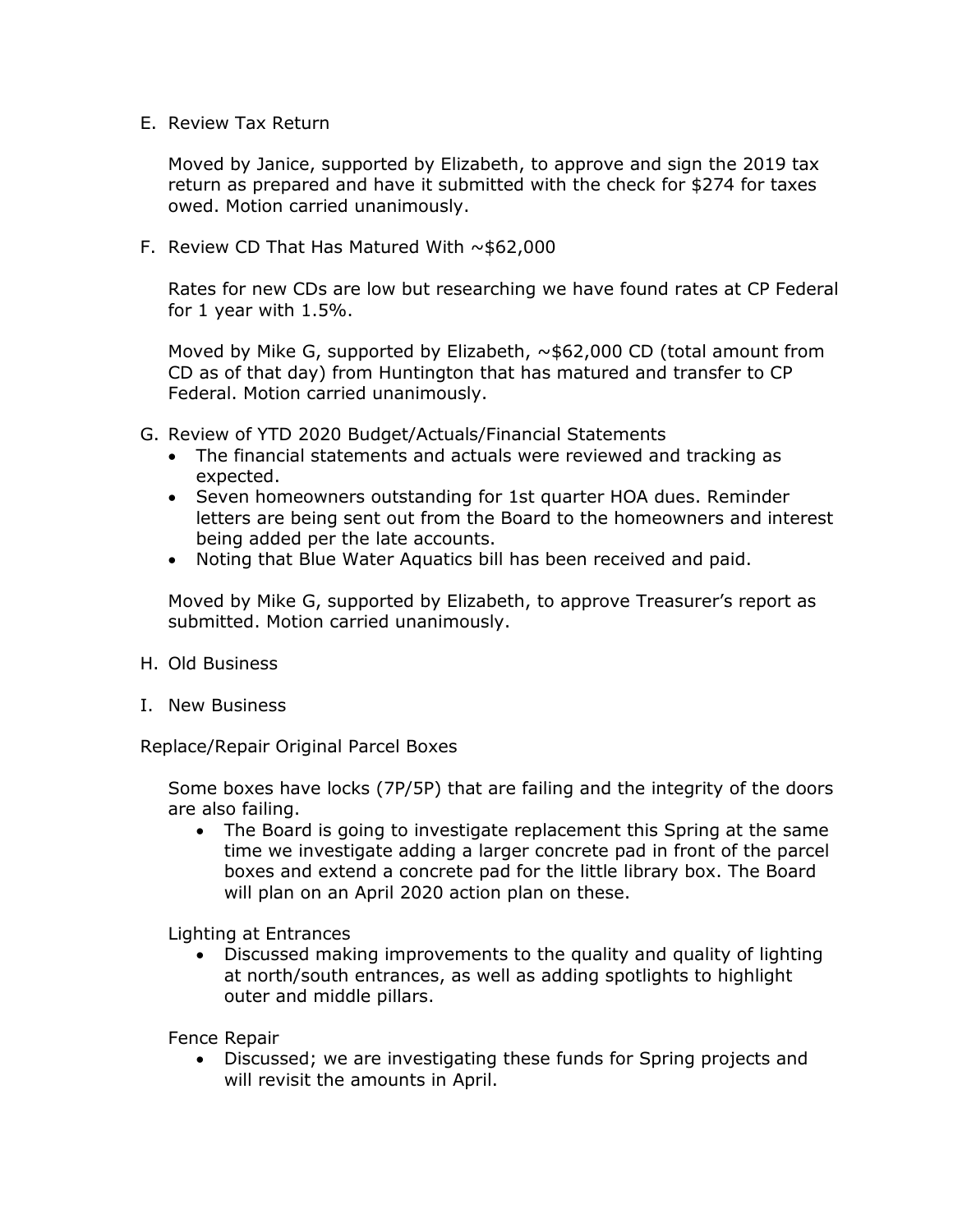E. Review Tax Return

Moved by Janice, supported by Elizabeth, to approve and sign the 2019 tax return as prepared and have it submitted with the check for \$274 for taxes owed. Motion carried unanimously.

F. Review CD That Has Matured With  $\sim$ \$62,000

Rates for new CDs are low but researching we have found rates at CP Federal for 1 year with 1.5%.

Moved by Mike G, supported by Elizabeth,  $\sim$ \$62,000 CD (total amount from CD as of that day) from Huntington that has matured and transfer to CP Federal. Motion carried unanimously.

- G. Review of YTD 2020 Budget/Actuals/Financial Statements
	- The financial statements and actuals were reviewed and tracking as expected.
	- Seven homeowners outstanding for 1st quarter HOA dues. Reminder letters are being sent out from the Board to the homeowners and interest being added per the late accounts.
	- Noting that Blue Water Aquatics bill has been received and paid.

Moved by Mike G, supported by Elizabeth, to approve Treasurer's report as submitted. Motion carried unanimously.

- H. Old Business
- I. New Business

Replace/Repair Original Parcel Boxes

Some boxes have locks (7P/5P) that are failing and the integrity of the doors are also failing.

 The Board is going to investigate replacement this Spring at the same time we investigate adding a larger concrete pad in front of the parcel boxes and extend a concrete pad for the little library box. The Board will plan on an April 2020 action plan on these.

Lighting at Entrances

 Discussed making improvements to the quality and quality of lighting at north/south entrances, as well as adding spotlights to highlight outer and middle pillars.

Fence Repair

 Discussed; we are investigating these funds for Spring projects and will revisit the amounts in April.